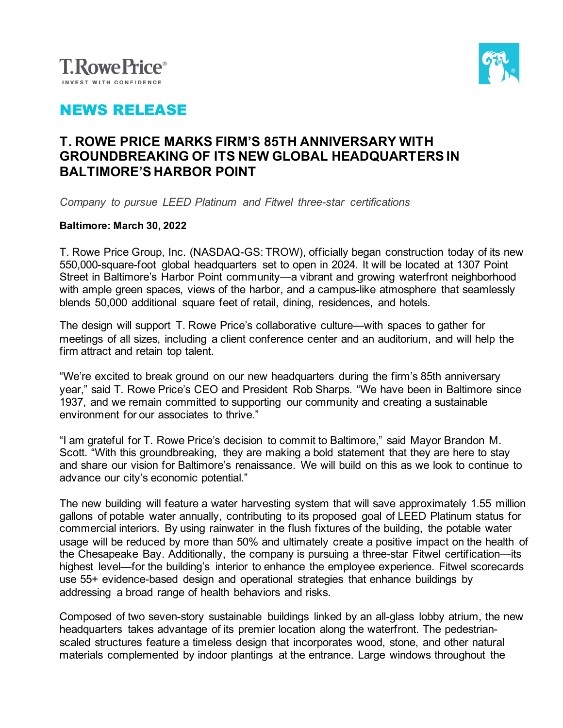



# NEWS RELEASE

# **T. ROWE PRICE MARKS FIRM'S 85TH ANNIVERSARY WITH GROUNDBREAKING OF ITS NEW GLOBAL HEADQUARTERS IN BALTIMORE'S HARBOR POINT**

*Company to pursue LEED Platinum and Fitwel three-star certifications*

#### **Baltimore: March 30, 2022**

T. Rowe Price Group, Inc. (NASDAQ-GS: TROW), officially began construction today of its new 550,000-square-foot global headquarters set to open in 2024. It will be located at 1307 Point Street in Baltimore's Harbor Point community—a vibrant and growing waterfront neighborhood with ample green spaces, views of the harbor, and a campus-like atmosphere that seamlessly blends 50,000 additional square feet of retail, dining, residences, and hotels.

The design will support T. Rowe Price's collaborative culture—with spaces to gather for meetings of all sizes, including a client conference center and an auditorium, and will help the firm attract and retain top talent.

"We're excited to break ground on our new headquarters during the firm's 85th anniversary year," said T. Rowe Price's CEO and President Rob Sharps. "We have been in Baltimore since 1937, and we remain committed to supporting our community and creating a sustainable environment for our associates to thrive."

"I am grateful for T. Rowe Price's decision to commit to Baltimore," said Mayor Brandon M. Scott. "With this groundbreaking, they are making a bold statement that they are here to stay and share our vision for Baltimore's renaissance. We will build on this as we look to continue to advance our city's economic potential."

The new building will feature a water harvesting system that will save approximately 1.55 million gallons of potable water annually, contributing to its proposed goal of LEED Platinum status for commercial interiors. By using rainwater in the flush fixtures of the building, the potable water usage will be reduced by more than 50% and ultimately create a positive impact on the health of the Chesapeake Bay. Additionally, the company is pursuing a three-star Fitwel certification—its highest level—for the building's interior to enhance the employee experience. Fitwel scorecards use 55+ evidence-based design and operational strategies that enhance buildings by addressing a broad range of health behaviors and risks.

Composed of two seven-story sustainable buildings linked by an all-glass lobby atrium, the new headquarters takes advantage of its premier location along the waterfront. The pedestrianscaled structures feature a timeless design that incorporates wood, stone, and other natural materials complemented by indoor plantings at the entrance. Large windows throughout the